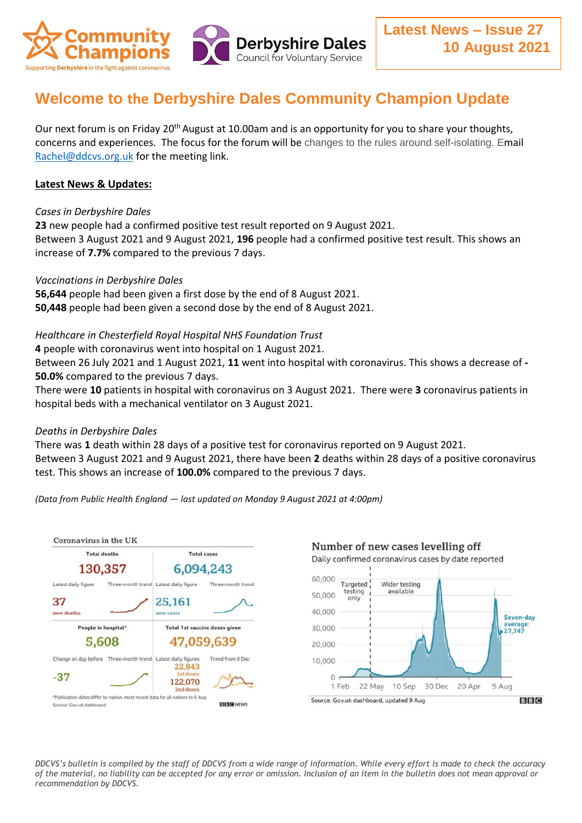

# **Welcome to the Derbyshire Dales Community Champion Update**

Our next forum is on Friday 20<sup>th</sup> August at 10.00am and is an opportunity for you to share your thoughts, concerns and experiences. The focus for the forum will be changes to the rules around self-isolating. Email [Rachel@ddcvs.org.uk](mailto:Rachel@ddcvs.org.uk) for the meeting link.

# **Latest News & Updates:**

#### *Cases in Derbyshire Dales*

**23** new people had a confirmed positive test result reported on 9 August 2021. Between 3 August 2021 and 9 August 2021, **196** people had a confirmed positive test result. This shows an increase of **7.7%** compared to the previous 7 days.

#### *Vaccinations in Derbyshire Dales*

**56,644** people had been given a first dose by the end of 8 August 2021. **50,448** people had been given a second dose by the end of 8 August 2021.

#### *Healthcare in Chesterfield Royal Hospital NHS Foundation Trust*

**4** people with coronavirus went into hospital on 1 August 2021.

Between 26 July 2021 and 1 August 2021, **11** went into hospital with coronavirus. This shows a decrease of **- 50.0%** compared to the previous 7 days.

There were **10** patients in hospital with coronavirus on 3 August 2021. There were **3** coronavirus patients in hospital beds with a mechanical ventilator on 3 August 2021.

## *Deaths in Derbyshire Dales*

There was **1** death within 28 days of a positive test for coronavirus reported on 9 August 2021. Between 3 August 2021 and 9 August 2021, there have been **2** deaths within 28 days of a positive coronavirus test. This shows an increase of **100.0%** compared to the previous 7 days.

*(Data from Public Health England — last updated on Monday 9 August 2021 at 4:00pm)*





*DDCVS's bulletin is compiled by the staff of DDCVS from a wide range of information. While every effort is made to check the accuracy of the material, no liability can be accepted for any error or omission. Inclusion of an item in the bulletin does not mean approval or recommendation by DDCVS.*